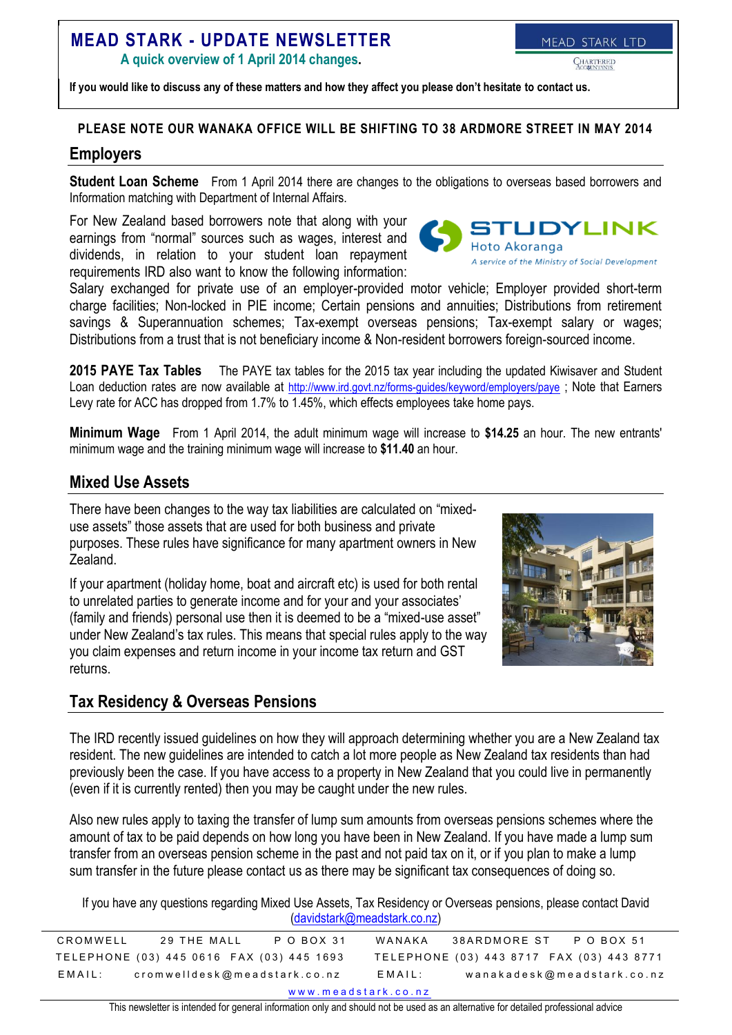# **MEAD STARK - UPDATE NEWSLETTER**

**A quick overview of 1 April 2014 changes.**

MEAD STARK LTD

**If you would like to discuss any of these matters and how they affect you please don't hesitate to contact us.**

## **PLEASE NOTE OUR WANAKA OFFICE WILL BE SHIFTING TO 38 ARDMORE STREET IN MAY 2014**

### **Employers**

**Student Loan Scheme** From 1 April 2014 there are changes to the obligations to overseas based borrowers and Information matching with Department of Internal Affairs.

For New Zealand based borrowers note that along with your earnings from "normal" sources such as wages, interest and dividends, in relation to your student loan repayment requirements IRD also want to know the following information:

Salary exchanged for private use of an employer-provided motor vehicle; Employer provided short-term charge facilities; Non-locked in PIE income; Certain pensions and annuities; Distributions from retirement savings & Superannuation schemes; Tax-exempt overseas pensions; Tax-exempt salary or wages; Distributions from a trust that is not beneficiary income & Non-resident borrowers foreign-sourced income.

**2015 PAYE Tax Tables** The PAYE tax tables for the 2015 tax year including the updated Kiwisaver and Student Loan deduction rates are now available at <http://www.ird.govt.nz/forms-guides/keyword/employers/paye> ; Note that Earners Levy rate for ACC has dropped from 1.7% to 1.45%, which effects employees take home pays.

**Minimum Wage** From 1 April 2014, the adult minimum wage will increase to **\$14.25** an hour. The new entrants' minimum wage and the training minimum wage will increase to **\$11.40** an hour.

## **Mixed Use Assets**

There have been changes to the way tax liabilities are calculated on "mixeduse assets" those assets that are used for both business and private purposes. These rules have significance for many apartment owners in New Zealand.

If your apartment (holiday home, boat and aircraft etc) is used for both rental to unrelated parties to generate income and for your and your associates' (family and friends) personal use then it is deemed to be a "mixed-use asset" under New Zealand's tax rules. This means that special rules apply to the way you claim expenses and return income in your income tax return and GST returns.

# **Tax Residency & Overseas Pensions**

The IRD recently issued guidelines on how they will approach determining whether you are a New Zealand tax resident. The new guidelines are intended to catch a lot more people as New Zealand tax residents than had previously been the case. If you have access to a property in New Zealand that you could live in permanently (even if it is currently rented) then you may be caught under the new rules.

Also new rules apply to taxing the transfer of lump sum amounts from overseas pensions schemes where the amount of tax to be paid depends on how long you have been in New Zealand. If you have made a lump sum transfer from an overseas pension scheme in the past and not paid tax on it, or if you plan to make a lump sum transfer in the future please contact us as there may be significant tax consequences of doing so.

If you have any questions regarding Mixed Use Assets, Tax Residency or Overseas pensions, please contact David [\(davidstark@meadstark.co.nz\)](mailto:davidstark@meadstark.co.nz)

| P O BOX 31<br>CROMWELL<br>29 THE MALL     | 38ARDMORE ST<br>WANAKA<br>P O BOX 51      |  |  |
|-------------------------------------------|-------------------------------------------|--|--|
|                                           |                                           |  |  |
|                                           |                                           |  |  |
| TELEPHONE (03) 445 0616 FAX (03) 445 1693 | TELEPHONE (03) 443 8717 FAX (03) 443 8771 |  |  |
|                                           |                                           |  |  |
| cromwelldesk@meadstark.co.nz<br>EMAIL:    | wanakadesk@meadstark.co.nz<br>EMAIL:      |  |  |
|                                           |                                           |  |  |
| www.meadstark.co.nz                       |                                           |  |  |

This newsletter is intended for general information only and should not be used as an alternative for detailed professional advice